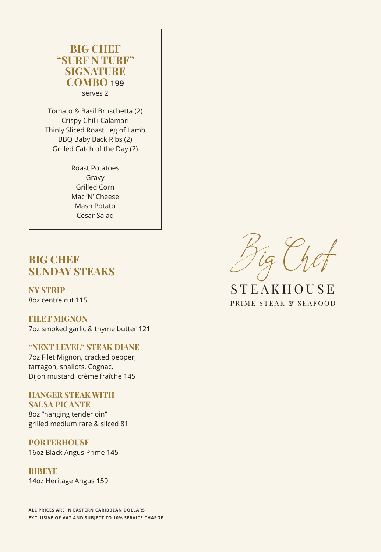# **BIG CHEF "SURF N TURF" SIGNATURE COMBO 199**  serves 2

Tomato & Basil Bruschetta (2) Crispy Chilli Calamari Thinly Sliced Roast Leg of Lamb BBQ Baby Back Ribs (2) Grilled Catch of the Day (2)

> Roast Potatoes Gravy Grilled Corn Mac 'N' Cheese Mash Potato Cesar Salad

# **BIG CHEF SUNDAY STEAKS**

**NY STRIP**  8oz centre cut 115

**FILET MIGNON**  7oz smoked garlic & thyme butter 121

## **"NEXT LEVEL" STEAK DIANE**

7oz Filet Mignon, cracked pepper, tarragon, shallots, Cognac, Dijon mustard, crème fraîche 145

# **HANGER STEAK WITH SALSA PICANTE**

8oz "hanging tenderloin" grilled medium rare & sliced 81

# **PORTERHOUSE**

16oz Black Angus Prime 145

**RIBEYE** 14oz Heritage Angus 159

**ALL PRICES ARE IN EASTERN CARIBBEAN DOLLARS EXCLUSIVE OF VAT AND SUBJECT TO 10% SERVICE CHARGE**

Big Chef

PRIME STEAK & SEAFOOD **STEAKHOUSE**